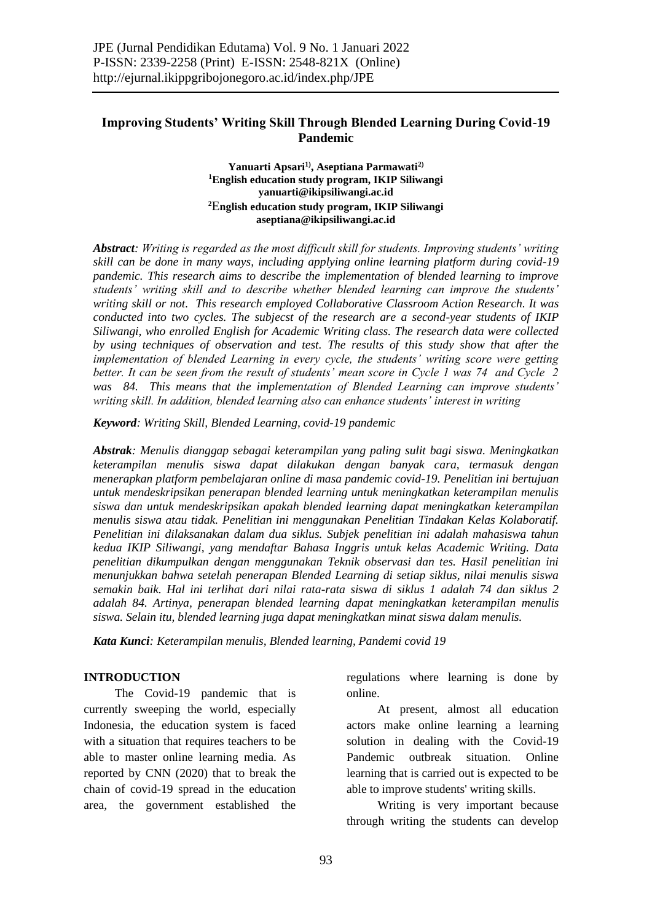# **Improving Students' Writing Skill Through Blended Learning During Covid-19 Pandemic**

## **Yanuarti Apsari1), Aseptiana Parmawati2) <sup>1</sup>English education study program, IKIP Siliwangi yanuarti@ikipsiliwangi.ac.id <sup>2</sup>**E**nglish education study program, IKIP Siliwangi aseptiana@ikipsiliwangi.ac.id**

*Abstract: Writing is regarded as the most difficult skill for students. Improving students' writing skill can be done in many ways, including applying online learning platform during covid-19 pandemic. This research aims to describe the implementation of blended learning to improve students' writing skill and to describe whether blended learning can improve the students' writing skill or not. This research employed Collaborative Classroom Action Research. It was conducted into two cycles. The subjecst of the research are a second-year students of IKIP Siliwangi, who enrolled English for Academic Writing class. The research data were collected by using techniques of observation and test. The results of this study show that after the implementation of blended Learning in every cycle, the students' writing score were getting better. It can be seen from the result of students' mean score in Cycle 1 was 74 and Cycle 2 was 84. This means that the implementation of Blended Learning can improve students' writing skill. In addition, blended learning also can enhance students' interest in writing*

*Keyword: Writing Skill, Blended Learning, covid-19 pandemic*

*Abstrak: Menulis dianggap sebagai keterampilan yang paling sulit bagi siswa. Meningkatkan keterampilan menulis siswa dapat dilakukan dengan banyak cara, termasuk dengan menerapkan platform pembelajaran online di masa pandemic covid-19. Penelitian ini bertujuan untuk mendeskripsikan penerapan blended learning untuk meningkatkan keterampilan menulis siswa dan untuk mendeskripsikan apakah blended learning dapat meningkatkan keterampilan menulis siswa atau tidak. Penelitian ini menggunakan Penelitian Tindakan Kelas Kolaboratif. Penelitian ini dilaksanakan dalam dua siklus. Subjek penelitian ini adalah mahasiswa tahun kedua IKIP Siliwangi, yang mendaftar Bahasa Inggris untuk kelas Academic Writing. Data penelitian dikumpulkan dengan menggunakan Teknik observasi dan tes. Hasil penelitian ini menunjukkan bahwa setelah penerapan Blended Learning di setiap siklus, nilai menulis siswa semakin baik. Hal ini terlihat dari nilai rata-rata siswa di siklus 1 adalah 74 dan siklus 2 adalah 84. Artinya, penerapan blended learning dapat meningkatkan keterampilan menulis siswa. Selain itu, blended learning juga dapat meningkatkan minat siswa dalam menulis.*

*Kata Kunci: Keterampilan menulis, Blended learning, Pandemi covid 19*

## **INTRODUCTION**

The Covid-19 pandemic that is currently sweeping the world, especially Indonesia, the education system is faced with a situation that requires teachers to be able to master online learning media. As reported by CNN (2020) that to break the chain of covid-19 spread in the education area, the government established the regulations where learning is done by online.

At present, almost all education actors make online learning a learning solution in dealing with the Covid-19 Pandemic outbreak situation. Online learning that is carried out is expected to be able to improve students' writing skills.

Writing is very important because through writing the students can develop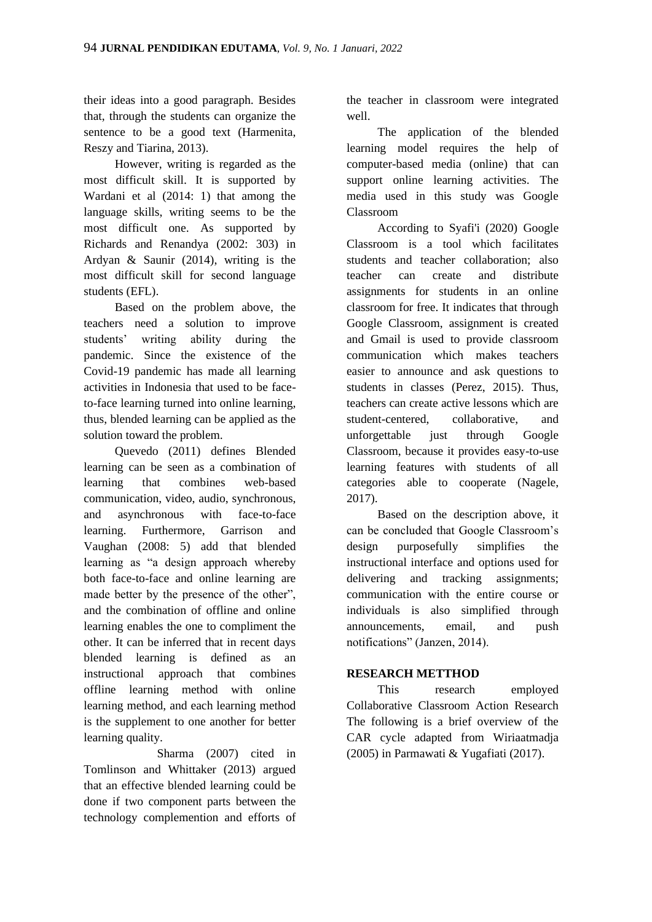their ideas into a good paragraph. Besides that, through the students can organize the sentence to be a good text (Harmenita, Reszy and Tiarina, 2013).

However, writing is regarded as the most difficult skill. It is supported by Wardani et al (2014: 1) that among the language skills, writing seems to be the most difficult one. As supported by Richards and Renandya (2002: 303) in Ardyan & Saunir (2014), writing is the most difficult skill for second language students (EFL).

Based on the problem above, the teachers need a solution to improve students' writing ability during the pandemic. Since the existence of the Covid-19 pandemic has made all learning activities in Indonesia that used to be faceto-face learning turned into online learning, thus, blended learning can be applied as the solution toward the problem.

Quevedo (2011) defines Blended learning can be seen as a combination of learning that combines web-based communication, video, audio, synchronous, and asynchronous with face-to-face learning. Furthermore, Garrison and Vaughan (2008: 5) add that blended learning as "a design approach whereby both face-to-face and online learning are made better by the presence of the other", and the combination of offline and online learning enables the one to compliment the other. It can be inferred that in recent days blended learning is defined as an instructional approach that combines offline learning method with online learning method, and each learning method is the supplement to one another for better learning quality.

 Sharma (2007) cited in Tomlinson and Whittaker (2013) argued that an effective blended learning could be done if two component parts between the technology complemention and efforts of

the teacher in classroom were integrated well.

The application of the blended learning model requires the help of computer-based media (online) that can support online learning activities. The media used in this study was Google Classroom

According to Syafi'i (2020) Google Classroom is a tool which facilitates students and teacher collaboration; also teacher can create and distribute assignments for students in an online classroom for free. It indicates that through Google Classroom, assignment is created and Gmail is used to provide classroom communication which makes teachers easier to announce and ask questions to students in classes (Perez, 2015). Thus, teachers can create active lessons which are student-centered, collaborative, and unforgettable just through Google Classroom, because it provides easy-to-use learning features with students of all categories able to cooperate (Nagele, 2017).

Based on the description above, it can be concluded that Google Classroom's design purposefully simplifies the instructional interface and options used for delivering and tracking assignments; communication with the entire course or individuals is also simplified through announcements, email, and push notifications" (Janzen, 2014).

# **RESEARCH METTHOD**

This research employed Collaborative Classroom Action Research The following is a brief overview of the CAR cycle adapted from Wiriaatmadja (2005) in Parmawati & Yugafiati (2017).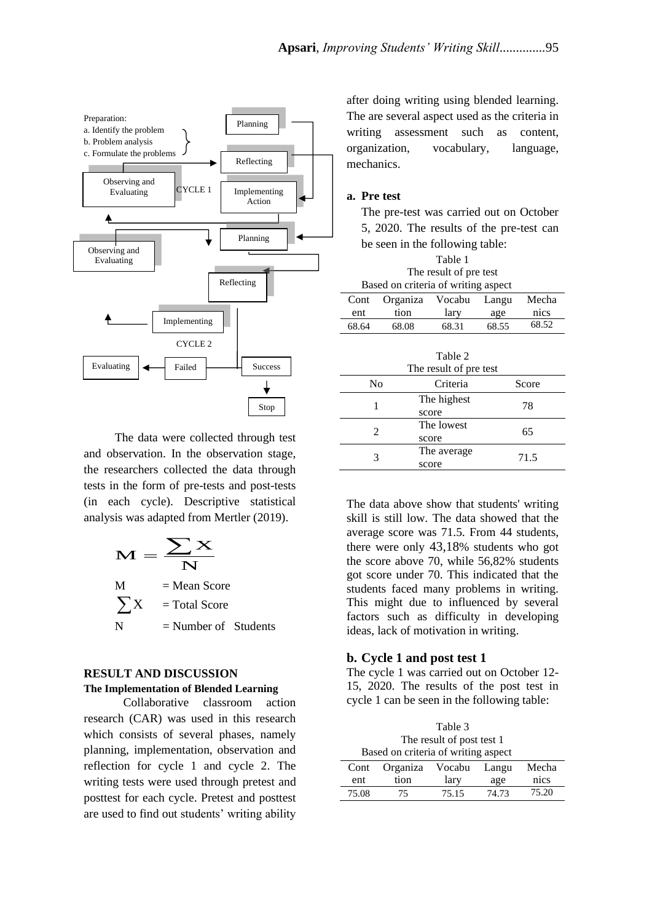

The data were collected through test and observation. In the observation stage, the researchers collected the data through tests in the form of pre-tests and post-tests (in each cycle). Descriptive statistical analysis was adapted from Mertler (2019).

$$
M = \frac{\sum X}{N}
$$
  
M = Mean Score  

$$
\sum X = \text{Total Score}
$$
  
N = Number of Students

#### **RESULT AND DISCUSSION**

## **The Implementation of Blended Learning**

Collaborative classroom action research (CAR) was used in this research which consists of several phases, namely planning, implementation, observation and reflection for cycle 1 and cycle 2. The writing tests were used through pretest and posttest for each cycle. Pretest and posttest are used to find out students' writing ability

after doing writing using blended learning. The are several aspect used as the criteria in writing assessment such as content, organization, vocabulary, language, mechanics.

## **a. Pre test**

The pre-test was carried out on October 5, 2020. The results of the pre-test can be seen in the following table:

| Table 1                             |          |        |       |       |
|-------------------------------------|----------|--------|-------|-------|
| The result of pre test              |          |        |       |       |
| Based on criteria of writing aspect |          |        |       |       |
| Cont                                | Organiza | Vocabu | Langu | Mecha |
| ent                                 | tion     | lary   | age   | nics  |
| 68.64                               | 68.08    | 68.31  | 68.55 | 68.52 |
|                                     |          |        |       |       |

|    | Table 2<br>The result of pre test |       |
|----|-----------------------------------|-------|
| No | Criteria                          | Score |
|    | The highest<br>score              | 78    |
| 2  | The lowest<br>score               | 65    |
| 3  | The average<br>score              | 71.5  |

The data above show that students' writing skill is still low. The data showed that the average score was 71.5. From 44 students, there were only 43,18% students who got the score above 70, while 56,82% students got score under 70. This indicated that the students faced many problems in writing. This might due to influenced by several factors such as difficulty in developing ideas, lack of motivation in writing.

## **b. Cycle 1 and post test 1**

The cycle 1 was carried out on October 12- 15, 2020. The results of the post test in cycle 1 can be seen in the following table:

| Table 3                             |          |        |       |       |
|-------------------------------------|----------|--------|-------|-------|
| The result of post test 1           |          |        |       |       |
| Based on criteria of writing aspect |          |        |       |       |
| Cont                                | Organiza | Vocabu | Langu | Mecha |
| ent                                 | tion     | lary   | age   | nics  |
| 75.08                               | 75       | 75.15  | 74.73 | 75.20 |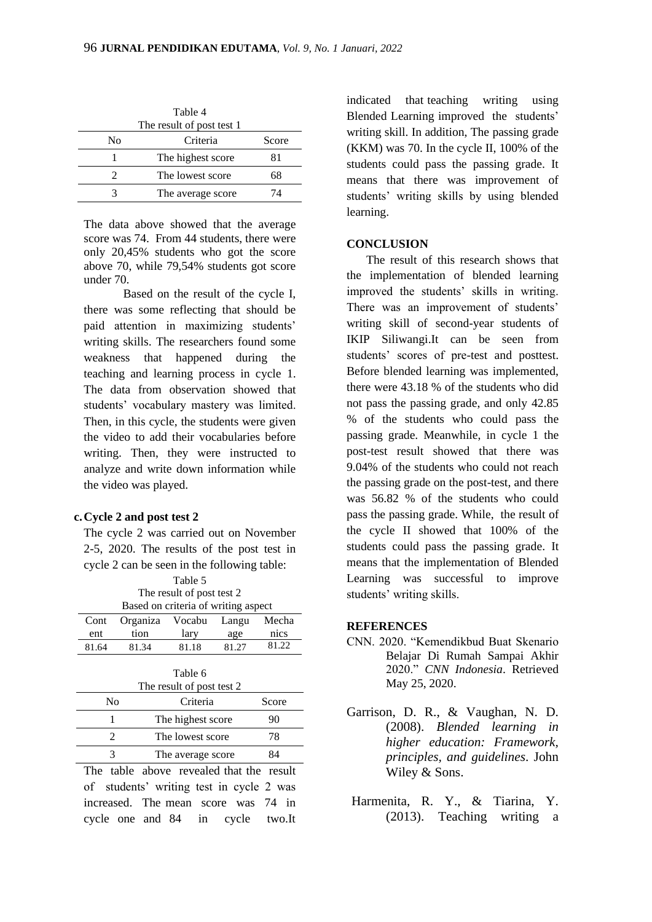| Table 4<br>The result of post test 1 |                   |       |  |
|--------------------------------------|-------------------|-------|--|
| Nο                                   | Criteria          | Score |  |
|                                      | The highest score | 81    |  |
|                                      | The lowest score  | 68    |  |
|                                      | The average score | 74    |  |

The data above showed that the average score was 74. From 44 students, there were only 20,45% students who got the score above 70, while 79,54% students got score under 70.

Based on the result of the cycle I, there was some reflecting that should be paid attention in maximizing students' writing skills. The researchers found some weakness that happened during the teaching and learning process in cycle 1. The data from observation showed that students' vocabulary mastery was limited. Then, in this cycle, the students were given the video to add their vocabularies before writing. Then, they were instructed to analyze and write down information while the video was played.

### **c.Cycle 2 and post test 2**

The cycle 2 was carried out on November 2-5, 2020. The results of the post test in cycle 2 can be seen in the following table:

| Table 5<br>The result of post test 2<br>Based on criteria of writing aspect |          |                   |       |       |
|-----------------------------------------------------------------------------|----------|-------------------|-------|-------|
| Cont                                                                        | Organiza | Vocabu            | Langu | Mecha |
| ent                                                                         | tion     | lary              | age   | nics  |
| 81.64                                                                       | 81.34    | 81.18             | 81.27 | 81.22 |
| Table 6<br>The result of post test 2                                        |          |                   |       |       |
| No<br>Criteria                                                              |          | Score             |       |       |
| 1                                                                           |          | The highest score |       | 90    |
| $\mathfrak{D}$                                                              |          | The lowest score  |       | 78    |
|                                                                             |          | The average score |       | 84    |

The table above revealed that the result of students' writing test in cycle 2 was increased. The mean score was 74 in cycle one and 84 in cycle two.It

indicated that teaching writing using Blended Learning improved the students' writing skill. In addition, The passing grade (KKM) was 70. In the cycle II, 100% of the students could pass the passing grade. It means that there was improvement of students' writing skills by using blended learning.

## **CONCLUSION**

The result of this research shows that the implementation of blended learning improved the students' skills in writing. There was an improvement of students' writing skill of second-year students of IKIP Siliwangi.It can be seen from students' scores of pre-test and posttest. Before blended learning was implemented, there were 43.18 % of the students who did not pass the passing grade, and only 42.85 % of the students who could pass the passing grade. Meanwhile, in cycle 1 the post-test result showed that there was 9.04% of the students who could not reach the passing grade on the post-test, and there was 56.82 % of the students who could pass the passing grade. While, the result of the cycle II showed that 100% of the students could pass the passing grade. It means that the implementation of Blended Learning was successful to improve students' writing skills.

#### **REFERENCES**

- CNN. 2020. "Kemendikbud Buat Skenario Belajar Di Rumah Sampai Akhir 2020." *CNN Indonesia*. Retrieved May 25, 2020.
- Garrison, D. R., & Vaughan, N. D. (2008). *Blended learning in higher education: Framework, principles, and guidelines*. John Wiley & Sons.
- Harmenita, R. Y., & Tiarina, Y. (2013). Teaching writing a